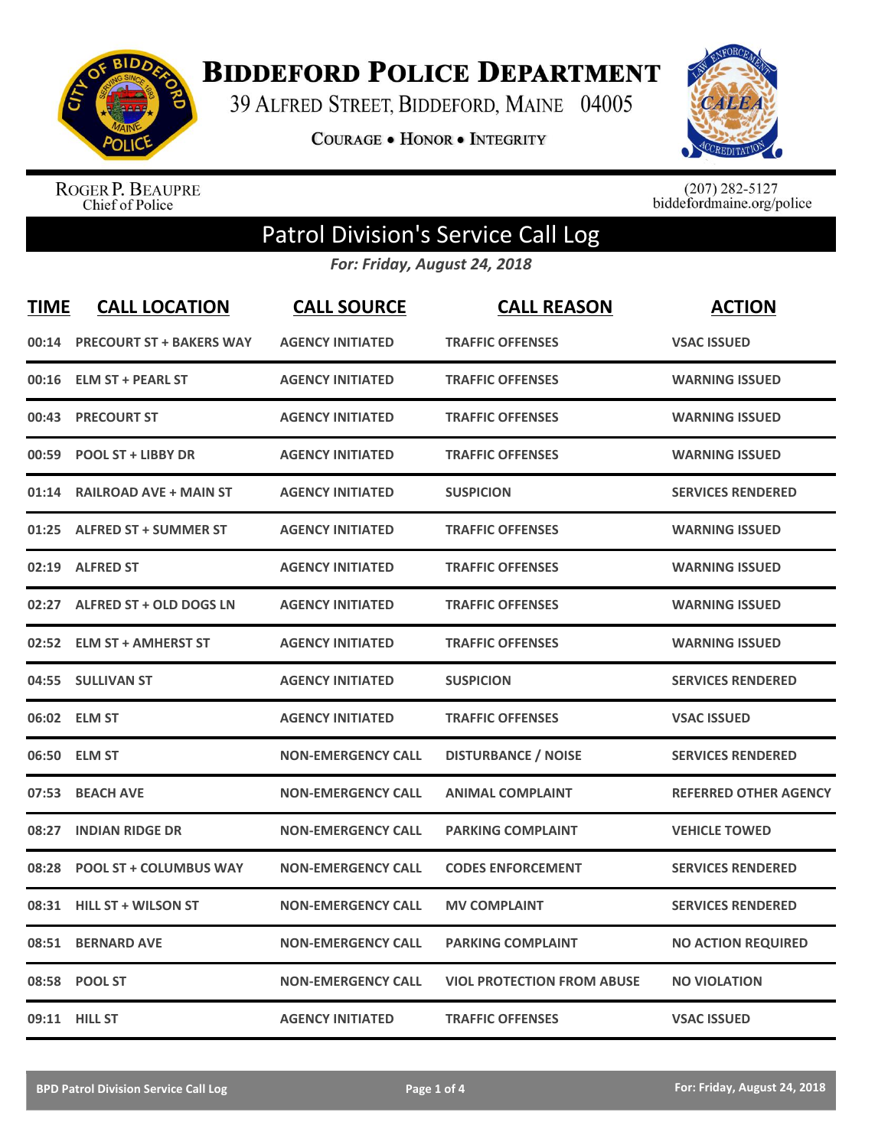

**BIDDEFORD POLICE DEPARTMENT** 

39 ALFRED STREET, BIDDEFORD, MAINE 04005

**COURAGE . HONOR . INTEGRITY** 



ROGER P. BEAUPRE<br>Chief of Police

 $(207)$  282-5127<br>biddefordmaine.org/police

## Patrol Division's Service Call Log

*For: Friday, August 24, 2018*

| <b>TIME</b> | <b>CALL LOCATION</b>            | <b>CALL SOURCE</b>        | <b>CALL REASON</b>                | <b>ACTION</b>                |
|-------------|---------------------------------|---------------------------|-----------------------------------|------------------------------|
| 00:14       | <b>PRECOURT ST + BAKERS WAY</b> | <b>AGENCY INITIATED</b>   | <b>TRAFFIC OFFENSES</b>           | <b>VSAC ISSUED</b>           |
| 00:16       | <b>ELM ST + PEARL ST</b>        | <b>AGENCY INITIATED</b>   | <b>TRAFFIC OFFENSES</b>           | <b>WARNING ISSUED</b>        |
| 00:43       | <b>PRECOURT ST</b>              | <b>AGENCY INITIATED</b>   | <b>TRAFFIC OFFENSES</b>           | <b>WARNING ISSUED</b>        |
| 00:59       | <b>POOL ST + LIBBY DR</b>       | <b>AGENCY INITIATED</b>   | <b>TRAFFIC OFFENSES</b>           | <b>WARNING ISSUED</b>        |
| 01:14       | <b>RAILROAD AVE + MAIN ST</b>   | <b>AGENCY INITIATED</b>   | <b>SUSPICION</b>                  | <b>SERVICES RENDERED</b>     |
| 01:25       | <b>ALFRED ST + SUMMER ST</b>    | <b>AGENCY INITIATED</b>   | <b>TRAFFIC OFFENSES</b>           | <b>WARNING ISSUED</b>        |
|             | 02:19 ALFRED ST                 | <b>AGENCY INITIATED</b>   | <b>TRAFFIC OFFENSES</b>           | <b>WARNING ISSUED</b>        |
| 02:27       | ALFRED ST + OLD DOGS LN         | <b>AGENCY INITIATED</b>   | <b>TRAFFIC OFFENSES</b>           | <b>WARNING ISSUED</b>        |
| 02:52       | <b>ELM ST + AMHERST ST</b>      | <b>AGENCY INITIATED</b>   | <b>TRAFFIC OFFENSES</b>           | <b>WARNING ISSUED</b>        |
|             | 04:55 SULLIVAN ST               | <b>AGENCY INITIATED</b>   | <b>SUSPICION</b>                  | <b>SERVICES RENDERED</b>     |
|             | 06:02 ELM ST                    | <b>AGENCY INITIATED</b>   | <b>TRAFFIC OFFENSES</b>           | <b>VSAC ISSUED</b>           |
|             | 06:50 ELM ST                    | <b>NON-EMERGENCY CALL</b> | <b>DISTURBANCE / NOISE</b>        | <b>SERVICES RENDERED</b>     |
| 07:53       | <b>BEACH AVE</b>                | <b>NON-EMERGENCY CALL</b> | <b>ANIMAL COMPLAINT</b>           | <b>REFERRED OTHER AGENCY</b> |
| 08:27       | <b>INDIAN RIDGE DR</b>          | <b>NON-EMERGENCY CALL</b> | <b>PARKING COMPLAINT</b>          | <b>VEHICLE TOWED</b>         |
| 08:28       | <b>POOL ST + COLUMBUS WAY</b>   | <b>NON-EMERGENCY CALL</b> | <b>CODES ENFORCEMENT</b>          | <b>SERVICES RENDERED</b>     |
| 08:31       | <b>HILL ST + WILSON ST</b>      | <b>NON-EMERGENCY CALL</b> | <b>MV COMPLAINT</b>               | <b>SERVICES RENDERED</b>     |
| 08:51       | <b>BERNARD AVE</b>              | <b>NON-EMERGENCY CALL</b> | <b>PARKING COMPLAINT</b>          | <b>NO ACTION REQUIRED</b>    |
|             | 08:58 POOL ST                   | <b>NON-EMERGENCY CALL</b> | <b>VIOL PROTECTION FROM ABUSE</b> | <b>NO VIOLATION</b>          |
|             | 09:11 HILL ST                   | <b>AGENCY INITIATED</b>   | <b>TRAFFIC OFFENSES</b>           | <b>VSAC ISSUED</b>           |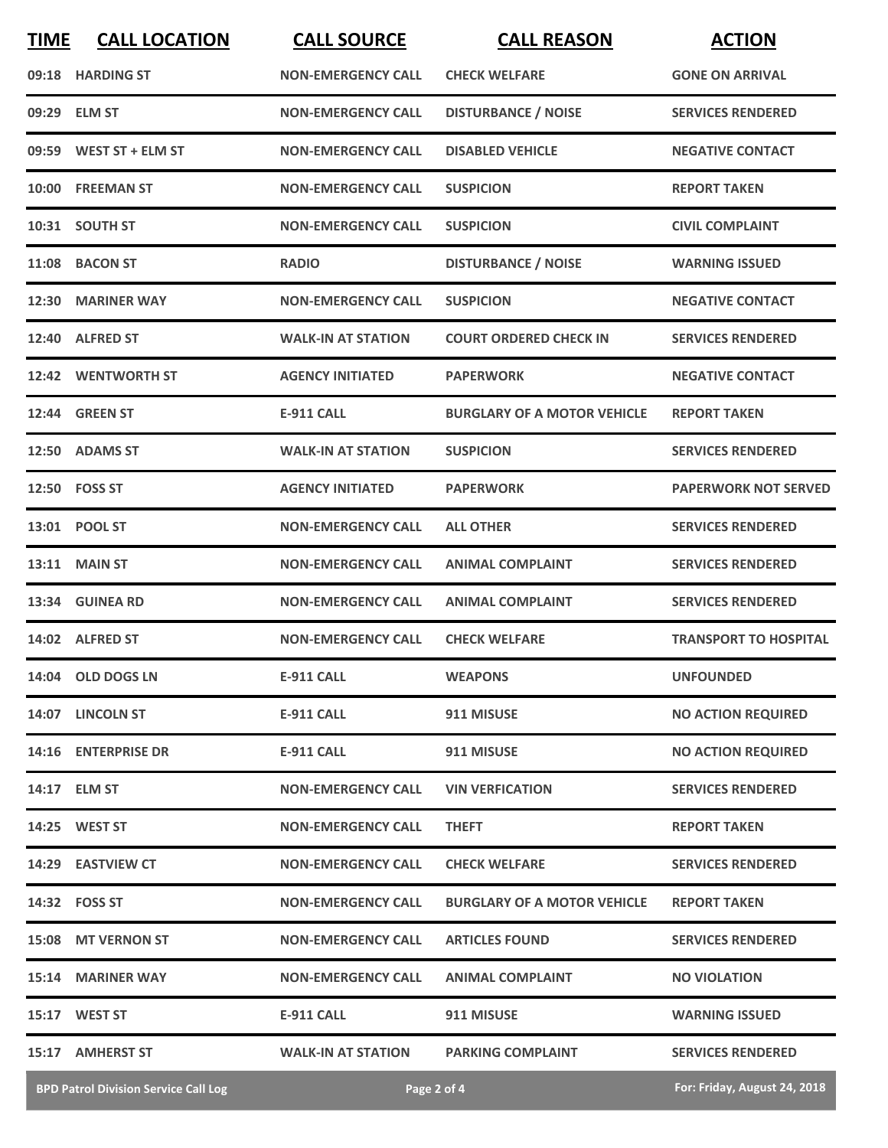| <b>TIME</b> | <b>CALL LOCATION</b>                        | <b>CALL SOURCE</b>        | <b>CALL REASON</b>                 | <b>ACTION</b>                |
|-------------|---------------------------------------------|---------------------------|------------------------------------|------------------------------|
|             | 09:18 HARDING ST                            | <b>NON-EMERGENCY CALL</b> | <b>CHECK WELFARE</b>               | <b>GONE ON ARRIVAL</b>       |
|             | 09:29 ELM ST                                | <b>NON-EMERGENCY CALL</b> | <b>DISTURBANCE / NOISE</b>         | <b>SERVICES RENDERED</b>     |
|             | 09:59 WEST ST + ELM ST                      | <b>NON-EMERGENCY CALL</b> | <b>DISABLED VEHICLE</b>            | <b>NEGATIVE CONTACT</b>      |
|             | 10:00 FREEMAN ST                            | <b>NON-EMERGENCY CALL</b> | <b>SUSPICION</b>                   | <b>REPORT TAKEN</b>          |
|             | 10:31 SOUTH ST                              | <b>NON-EMERGENCY CALL</b> | <b>SUSPICION</b>                   | <b>CIVIL COMPLAINT</b>       |
|             | 11:08 BACON ST                              | <b>RADIO</b>              | <b>DISTURBANCE / NOISE</b>         | <b>WARNING ISSUED</b>        |
|             | 12:30 MARINER WAY                           | <b>NON-EMERGENCY CALL</b> | <b>SUSPICION</b>                   | <b>NEGATIVE CONTACT</b>      |
|             | 12:40 ALFRED ST                             | <b>WALK-IN AT STATION</b> | <b>COURT ORDERED CHECK IN</b>      | <b>SERVICES RENDERED</b>     |
|             | 12:42 WENTWORTH ST                          | <b>AGENCY INITIATED</b>   | <b>PAPERWORK</b>                   | <b>NEGATIVE CONTACT</b>      |
|             | <b>12:44 GREEN ST</b>                       | <b>E-911 CALL</b>         | <b>BURGLARY OF A MOTOR VEHICLE</b> | <b>REPORT TAKEN</b>          |
|             | 12:50 ADAMS ST                              | <b>WALK-IN AT STATION</b> | <b>SUSPICION</b>                   | <b>SERVICES RENDERED</b>     |
|             | 12:50 FOSS ST                               | <b>AGENCY INITIATED</b>   | <b>PAPERWORK</b>                   | <b>PAPERWORK NOT SERVED</b>  |
|             | 13:01 POOL ST                               | <b>NON-EMERGENCY CALL</b> | <b>ALL OTHER</b>                   | <b>SERVICES RENDERED</b>     |
|             | 13:11 MAIN ST                               | <b>NON-EMERGENCY CALL</b> | <b>ANIMAL COMPLAINT</b>            | <b>SERVICES RENDERED</b>     |
|             | 13:34 GUINEA RD                             | <b>NON-EMERGENCY CALL</b> | <b>ANIMAL COMPLAINT</b>            | <b>SERVICES RENDERED</b>     |
|             | 14:02 ALFRED ST                             | <b>NON-EMERGENCY CALL</b> | <b>CHECK WELFARE</b>               | <b>TRANSPORT TO HOSPITAL</b> |
|             | 14:04 OLD DOGS LN                           | <b>E-911 CALL</b>         | <b>WEAPONS</b>                     | <b>UNFOUNDED</b>             |
|             | 14:07 LINCOLN ST                            | <b>E-911 CALL</b>         | 911 MISUSE                         | <b>NO ACTION REQUIRED</b>    |
|             | 14:16 ENTERPRISE DR                         | <b>E-911 CALL</b>         | 911 MISUSE                         | <b>NO ACTION REQUIRED</b>    |
|             | 14:17 ELM ST                                | <b>NON-EMERGENCY CALL</b> | <b>VIN VERFICATION</b>             | <b>SERVICES RENDERED</b>     |
|             | 14:25 WEST ST                               | <b>NON-EMERGENCY CALL</b> | <b>THEFT</b>                       | <b>REPORT TAKEN</b>          |
|             | 14:29 EASTVIEW CT                           | <b>NON-EMERGENCY CALL</b> | <b>CHECK WELFARE</b>               | <b>SERVICES RENDERED</b>     |
|             | 14:32 FOSS ST                               | <b>NON-EMERGENCY CALL</b> | <b>BURGLARY OF A MOTOR VEHICLE</b> | <b>REPORT TAKEN</b>          |
|             | 15:08 MT VERNON ST                          | <b>NON-EMERGENCY CALL</b> | <b>ARTICLES FOUND</b>              | <b>SERVICES RENDERED</b>     |
|             | 15:14 MARINER WAY                           | <b>NON-EMERGENCY CALL</b> | <b>ANIMAL COMPLAINT</b>            | <b>NO VIOLATION</b>          |
|             | 15:17 WEST ST                               | <b>E-911 CALL</b>         | 911 MISUSE                         | <b>WARNING ISSUED</b>        |
|             | 15:17 AMHERST ST                            | <b>WALK-IN AT STATION</b> | <b>PARKING COMPLAINT</b>           | <b>SERVICES RENDERED</b>     |
|             | <b>BPD Patrol Division Service Call Log</b> |                           | Page 2 of 4                        | For: Friday, August 24, 2018 |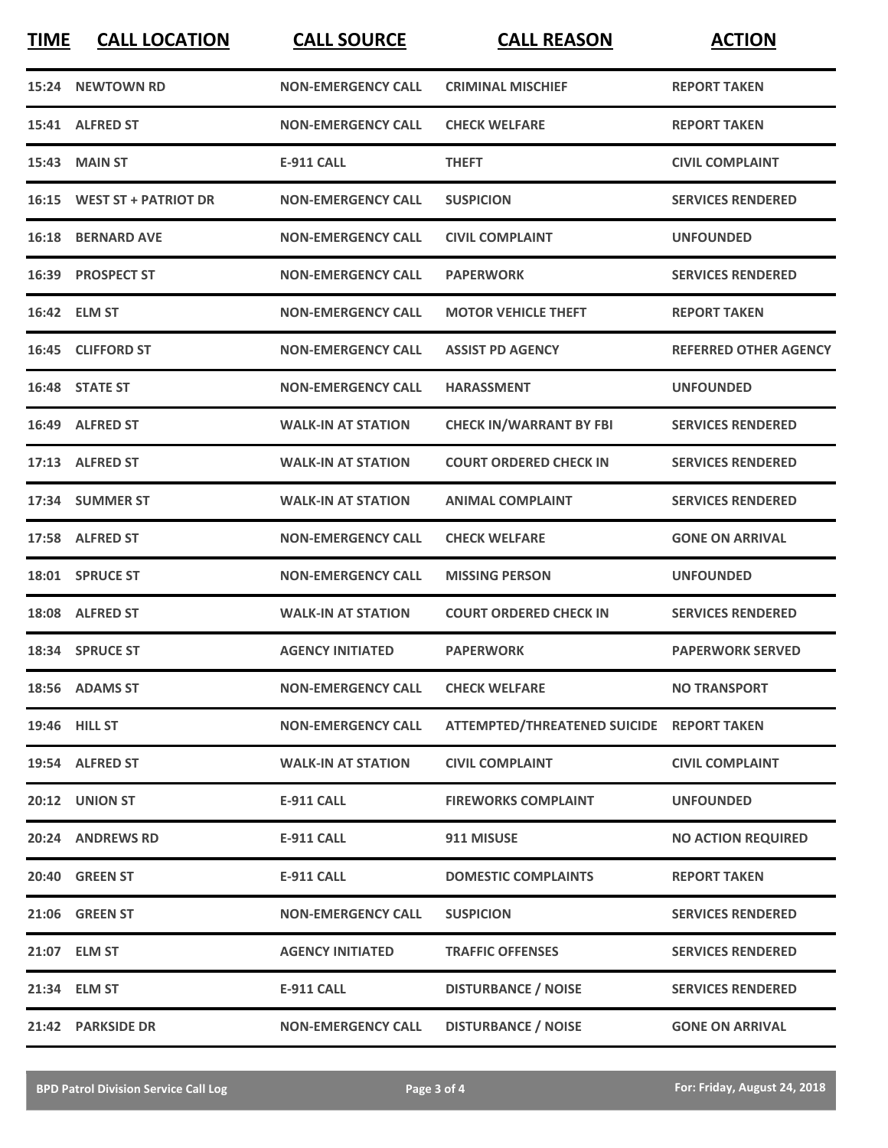**TIME CALL LOCATION CALL SOURCE CALL REASON ACTION**

| 15:24 NEWTOWN RD           | <b>NON-EMERGENCY CALL</b> | <b>CRIMINAL MISCHIEF</b>                  | <b>REPORT TAKEN</b>          |
|----------------------------|---------------------------|-------------------------------------------|------------------------------|
| 15:41 ALFRED ST            | <b>NON-EMERGENCY CALL</b> | <b>CHECK WELFARE</b>                      | <b>REPORT TAKEN</b>          |
| <b>15:43 MAIN ST</b>       | <b>E-911 CALL</b>         | <b>THEFT</b>                              | <b>CIVIL COMPLAINT</b>       |
| 16:15 WEST ST + PATRIOT DR | <b>NON-EMERGENCY CALL</b> | <b>SUSPICION</b>                          | <b>SERVICES RENDERED</b>     |
| <b>16:18 BERNARD AVE</b>   | <b>NON-EMERGENCY CALL</b> | <b>CIVIL COMPLAINT</b>                    | <b>UNFOUNDED</b>             |
| 16:39 PROSPECT ST          | <b>NON-EMERGENCY CALL</b> | <b>PAPERWORK</b>                          | <b>SERVICES RENDERED</b>     |
| 16:42 ELM ST               | <b>NON-EMERGENCY CALL</b> | <b>MOTOR VEHICLE THEFT</b>                | <b>REPORT TAKEN</b>          |
| 16:45 CLIFFORD ST          | <b>NON-EMERGENCY CALL</b> | <b>ASSIST PD AGENCY</b>                   | <b>REFERRED OTHER AGENCY</b> |
| 16:48 STATE ST             | <b>NON-EMERGENCY CALL</b> | <b>HARASSMENT</b>                         | <b>UNFOUNDED</b>             |
| 16:49 ALFRED ST            | <b>WALK-IN AT STATION</b> | <b>CHECK IN/WARRANT BY FBI</b>            | <b>SERVICES RENDERED</b>     |
| 17:13 ALFRED ST            | <b>WALK-IN AT STATION</b> | <b>COURT ORDERED CHECK IN</b>             | <b>SERVICES RENDERED</b>     |
| 17:34 SUMMER ST            | <b>WALK-IN AT STATION</b> | <b>ANIMAL COMPLAINT</b>                   | <b>SERVICES RENDERED</b>     |
| 17:58 ALFRED ST            | <b>NON-EMERGENCY CALL</b> | <b>CHECK WELFARE</b>                      | <b>GONE ON ARRIVAL</b>       |
| 18:01 SPRUCE ST            | <b>NON-EMERGENCY CALL</b> | <b>MISSING PERSON</b>                     | <b>UNFOUNDED</b>             |
| 18:08 ALFRED ST            | <b>WALK-IN AT STATION</b> | <b>COURT ORDERED CHECK IN</b>             | <b>SERVICES RENDERED</b>     |
| 18:34 SPRUCE ST            | <b>AGENCY INITIATED</b>   | <b>PAPERWORK</b>                          | <b>PAPERWORK SERVED</b>      |
| 18:56 ADAMS ST             | <b>NON-EMERGENCY CALL</b> | <b>CHECK WELFARE</b>                      | <b>NO TRANSPORT</b>          |
| 19:46 HILL ST              | <b>NON-EMERGENCY CALL</b> | ATTEMPTED/THREATENED SUICIDE REPORT TAKEN |                              |
| 19:54 ALFRED ST            | <b>WALK-IN AT STATION</b> | <b>CIVIL COMPLAINT</b>                    | <b>CIVIL COMPLAINT</b>       |
| 20:12 UNION ST             | <b>E-911 CALL</b>         | <b>FIREWORKS COMPLAINT</b>                | <b>UNFOUNDED</b>             |
| 20:24 ANDREWS RD           | <b>E-911 CALL</b>         | 911 MISUSE                                | <b>NO ACTION REQUIRED</b>    |
| 20:40 GREEN ST             | E-911 CALL                | <b>DOMESTIC COMPLAINTS</b>                | <b>REPORT TAKEN</b>          |
| 21:06 GREEN ST             | <b>NON-EMERGENCY CALL</b> | <b>SUSPICION</b>                          | <b>SERVICES RENDERED</b>     |
| 21:07 ELM ST               | <b>AGENCY INITIATED</b>   | <b>TRAFFIC OFFENSES</b>                   | <b>SERVICES RENDERED</b>     |
| 21:34 ELM ST               | <b>E-911 CALL</b>         | <b>DISTURBANCE / NOISE</b>                | <b>SERVICES RENDERED</b>     |
| 21:42 PARKSIDE DR          | <b>NON-EMERGENCY CALL</b> | <b>DISTURBANCE / NOISE</b>                | <b>GONE ON ARRIVAL</b>       |
|                            |                           |                                           |                              |